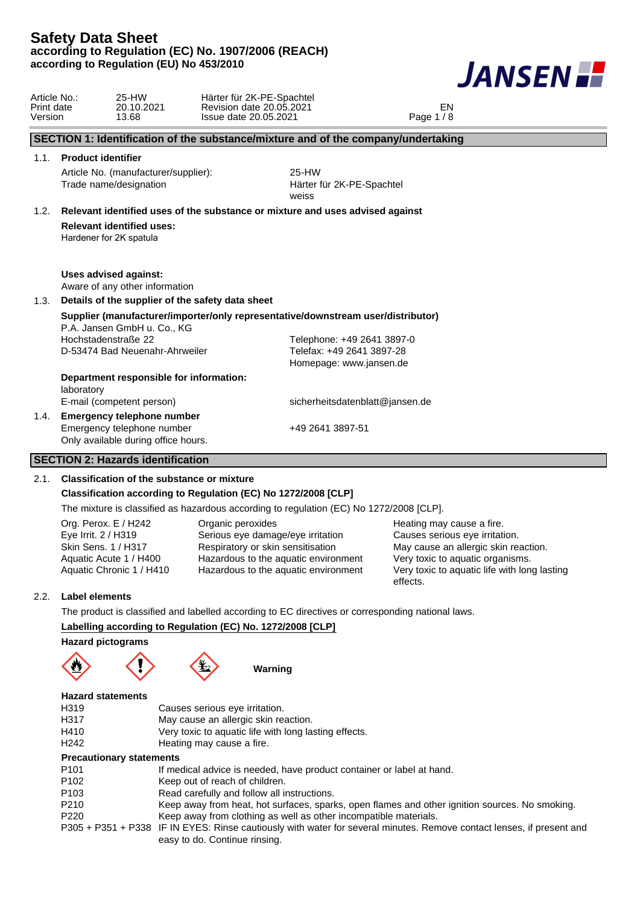

| 25-HW<br>Härter für 2K-PE-Spachtel<br>Article No.:<br>20.10.2021<br>Revision date 20.05.2021<br>EN<br>Print date<br>Page 1 / 8<br>13.68<br>Issue date 20.05.2021<br>Version<br>SECTION 1: Identification of the substance/mixture and of the company/undertaking<br><b>Product identifier</b><br>1.1.<br>25-HW<br>Article No. (manufacturer/supplier):<br>Trade name/designation<br>Härter für 2K-PE-Spachtel<br>weiss<br>1.2. Relevant identified uses of the substance or mixture and uses advised against<br><b>Relevant identified uses:</b><br>Hardener for 2K spatula<br><b>Uses advised against:</b><br>Aware of any other information<br>Details of the supplier of the safety data sheet<br>1.3.<br>Supplier (manufacturer/importer/only representative/downstream user/distributor)<br>P.A. Jansen GmbH u. Co., KG<br>Hochstadenstraße 22<br>Telephone: +49 2641 3897-0<br>Telefax: +49 2641 3897-28<br>D-53474 Bad Neuenahr-Ahrweiler<br>Homepage: www.jansen.de<br>Department responsible for information:<br>laboratory<br>E-mail (competent person)<br>sicherheitsdatenblatt@jansen.de<br><b>Emergency telephone number</b><br>1.4.<br>Emergency telephone number<br>+49 2641 3897-51<br>Only available during office hours.<br><b>SECTION 2: Hazards identification</b><br><b>Classification of the substance or mixture</b><br>2.1. |  |  |  |  |  |
|-----------------------------------------------------------------------------------------------------------------------------------------------------------------------------------------------------------------------------------------------------------------------------------------------------------------------------------------------------------------------------------------------------------------------------------------------------------------------------------------------------------------------------------------------------------------------------------------------------------------------------------------------------------------------------------------------------------------------------------------------------------------------------------------------------------------------------------------------------------------------------------------------------------------------------------------------------------------------------------------------------------------------------------------------------------------------------------------------------------------------------------------------------------------------------------------------------------------------------------------------------------------------------------------------------------------------------------------------------|--|--|--|--|--|
|                                                                                                                                                                                                                                                                                                                                                                                                                                                                                                                                                                                                                                                                                                                                                                                                                                                                                                                                                                                                                                                                                                                                                                                                                                                                                                                                                     |  |  |  |  |  |
|                                                                                                                                                                                                                                                                                                                                                                                                                                                                                                                                                                                                                                                                                                                                                                                                                                                                                                                                                                                                                                                                                                                                                                                                                                                                                                                                                     |  |  |  |  |  |
|                                                                                                                                                                                                                                                                                                                                                                                                                                                                                                                                                                                                                                                                                                                                                                                                                                                                                                                                                                                                                                                                                                                                                                                                                                                                                                                                                     |  |  |  |  |  |
|                                                                                                                                                                                                                                                                                                                                                                                                                                                                                                                                                                                                                                                                                                                                                                                                                                                                                                                                                                                                                                                                                                                                                                                                                                                                                                                                                     |  |  |  |  |  |
|                                                                                                                                                                                                                                                                                                                                                                                                                                                                                                                                                                                                                                                                                                                                                                                                                                                                                                                                                                                                                                                                                                                                                                                                                                                                                                                                                     |  |  |  |  |  |
|                                                                                                                                                                                                                                                                                                                                                                                                                                                                                                                                                                                                                                                                                                                                                                                                                                                                                                                                                                                                                                                                                                                                                                                                                                                                                                                                                     |  |  |  |  |  |
|                                                                                                                                                                                                                                                                                                                                                                                                                                                                                                                                                                                                                                                                                                                                                                                                                                                                                                                                                                                                                                                                                                                                                                                                                                                                                                                                                     |  |  |  |  |  |
|                                                                                                                                                                                                                                                                                                                                                                                                                                                                                                                                                                                                                                                                                                                                                                                                                                                                                                                                                                                                                                                                                                                                                                                                                                                                                                                                                     |  |  |  |  |  |
|                                                                                                                                                                                                                                                                                                                                                                                                                                                                                                                                                                                                                                                                                                                                                                                                                                                                                                                                                                                                                                                                                                                                                                                                                                                                                                                                                     |  |  |  |  |  |
|                                                                                                                                                                                                                                                                                                                                                                                                                                                                                                                                                                                                                                                                                                                                                                                                                                                                                                                                                                                                                                                                                                                                                                                                                                                                                                                                                     |  |  |  |  |  |
|                                                                                                                                                                                                                                                                                                                                                                                                                                                                                                                                                                                                                                                                                                                                                                                                                                                                                                                                                                                                                                                                                                                                                                                                                                                                                                                                                     |  |  |  |  |  |
|                                                                                                                                                                                                                                                                                                                                                                                                                                                                                                                                                                                                                                                                                                                                                                                                                                                                                                                                                                                                                                                                                                                                                                                                                                                                                                                                                     |  |  |  |  |  |
| Classification according to Regulation (EC) No 1272/2008 [CLP]                                                                                                                                                                                                                                                                                                                                                                                                                                                                                                                                                                                                                                                                                                                                                                                                                                                                                                                                                                                                                                                                                                                                                                                                                                                                                      |  |  |  |  |  |
| The mixture is classified as hazardous according to regulation (EC) No 1272/2008 [CLP].                                                                                                                                                                                                                                                                                                                                                                                                                                                                                                                                                                                                                                                                                                                                                                                                                                                                                                                                                                                                                                                                                                                                                                                                                                                             |  |  |  |  |  |
| Org. Perox. E / H242<br>Organic peroxides<br>Heating may cause a fire.<br>Eye Irrit. 2 / H319<br>Causes serious eye irritation.<br>Serious eye damage/eye irritation<br>May cause an allergic skin reaction.<br>Skin Sens. 1 / H317<br>Respiratory or skin sensitisation<br>Very toxic to aquatic organisms.<br>Hazardous to the aquatic environment<br>Aquatic Acute 1 / H400<br>Aquatic Chronic 1 / H410<br>Hazardous to the aquatic environment<br>Very toxic to aquatic life with long lasting<br>effects.                                                                                                                                                                                                                                                                                                                                                                                                                                                                                                                                                                                                                                                                                                                                                                                                                                      |  |  |  |  |  |
| <b>Label elements</b>                                                                                                                                                                                                                                                                                                                                                                                                                                                                                                                                                                                                                                                                                                                                                                                                                                                                                                                                                                                                                                                                                                                                                                                                                                                                                                                               |  |  |  |  |  |
| The product is classified and labelled according to EC directives or corresponding national laws.                                                                                                                                                                                                                                                                                                                                                                                                                                                                                                                                                                                                                                                                                                                                                                                                                                                                                                                                                                                                                                                                                                                                                                                                                                                   |  |  |  |  |  |
| Labelling according to Regulation (EC) No. 1272/2008 [CLP]                                                                                                                                                                                                                                                                                                                                                                                                                                                                                                                                                                                                                                                                                                                                                                                                                                                                                                                                                                                                                                                                                                                                                                                                                                                                                          |  |  |  |  |  |
| <b>Hazard pictograms</b><br>Warning                                                                                                                                                                                                                                                                                                                                                                                                                                                                                                                                                                                                                                                                                                                                                                                                                                                                                                                                                                                                                                                                                                                                                                                                                                                                                                                 |  |  |  |  |  |
| <b>Hazard statements</b><br>H319<br>Causes serious eye irritation.<br>H317<br>May cause an allergic skin reaction.<br>Very toxic to aquatic life with long lasting effects.<br>H410<br>H <sub>242</sub><br>Heating may cause a fire.<br><b>Precautionary statements</b><br>P <sub>101</sub><br>If medical advice is needed, have product container or label at hand.<br>P <sub>102</sub><br>Keep out of reach of children.<br>P103<br>Read carefully and follow all instructions.                                                                                                                                                                                                                                                                                                                                                                                                                                                                                                                                                                                                                                                                                                                                                                                                                                                                   |  |  |  |  |  |

- P210 Keep away from heat, hot surfaces, sparks, open flames and other ignition sources. No smoking.<br>P220 Keep away from clothing as well as other incompatible materials.
	- Keep away from clothing as well as other incompatible materials.
- P305 + P351 + P338 IF IN EYES: Rinse cautiously with water for several minutes. Remove contact lenses, if present and easy to do. Continue rinsing.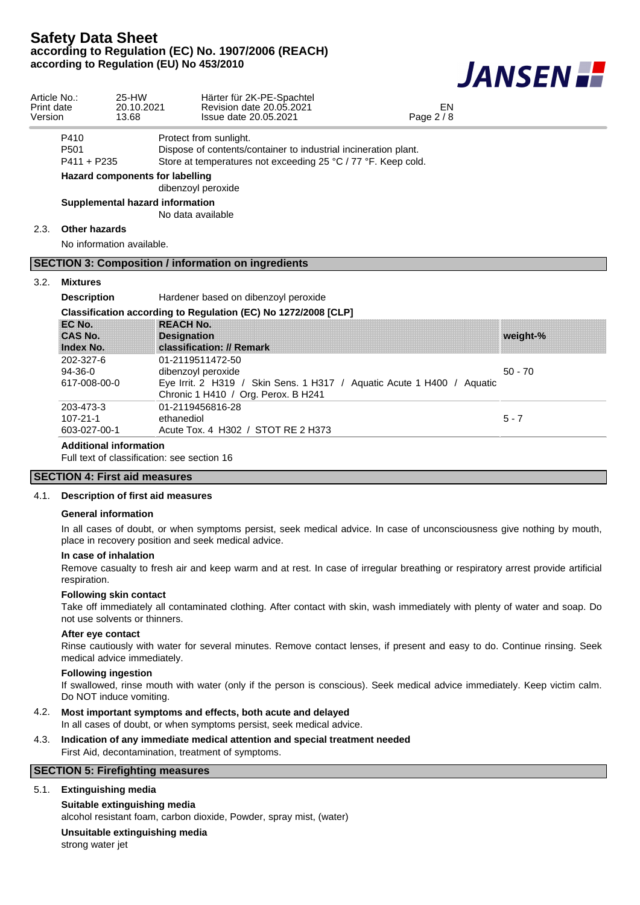

| Article No.:<br>Print date<br>Version |                                           | 25-HW<br>20.10.2021<br>13.68                                                         | Härter für 2K-PE-Spachtel<br>Revision date 20.05.2021<br>Issue date 20.05.2021                                                                             | EN<br>Page $2/8$ |           |  |  |  |
|---------------------------------------|-------------------------------------------|--------------------------------------------------------------------------------------|------------------------------------------------------------------------------------------------------------------------------------------------------------|------------------|-----------|--|--|--|
|                                       | P410<br>P <sub>501</sub><br>$P411 + P235$ |                                                                                      | Protect from sunlight.<br>Dispose of contents/container to industrial incineration plant.<br>Store at temperatures not exceeding 25 °C / 77 °F. Keep cold. |                  |           |  |  |  |
|                                       |                                           | Hazard components for labelling                                                      | dibenzoyl peroxide                                                                                                                                         |                  |           |  |  |  |
|                                       |                                           |                                                                                      | Supplemental hazard information<br>No data available                                                                                                       |                  |           |  |  |  |
| 2.3.                                  | <b>Other hazards</b>                      | No information available.                                                            |                                                                                                                                                            |                  |           |  |  |  |
|                                       |                                           |                                                                                      | <b>SECTION 3: Composition / information on ingredients</b>                                                                                                 |                  |           |  |  |  |
| 3.2.                                  | <b>Mixtures</b>                           |                                                                                      |                                                                                                                                                            |                  |           |  |  |  |
|                                       |                                           | Hardener based on dibenzoyl peroxide<br><b>Description</b>                           |                                                                                                                                                            |                  |           |  |  |  |
|                                       |                                           | Classification according to Regulation (EC) No 1272/2008 [CLP]                       |                                                                                                                                                            |                  |           |  |  |  |
|                                       | EC No.<br><b>CAS No.</b><br>Index No.     |                                                                                      | <b>REACH No.</b><br><b>Designation</b><br>classification: // Remark                                                                                        |                  | weight-%  |  |  |  |
|                                       | 202-327-6<br>$94-36-0$<br>617-008-00-0    |                                                                                      | 01-2119511472-50<br>dibenzoyl peroxide<br>Eye Irrit. 2 H319 / Skin Sens. 1 H317 / Aquatic Acute 1 H400 / Aquatic<br>Chronic 1 H410 / Org. Perox. B H241    |                  | $50 - 70$ |  |  |  |
|                                       | 203-473-3<br>$107 - 21 - 1$               | 01-2119456816-28<br>ethanediol<br>Acute Tox. 4 H302 / STOT RE 2 H373<br>603-027-00-1 |                                                                                                                                                            |                  | $5 - 7$   |  |  |  |
|                                       |                                           | <b>Additional information</b>                                                        | East to at the contraction of the contract of A.A.                                                                                                         |                  |           |  |  |  |

Full text of classification: see section 16

## **SECTION 4: First aid measures**

#### 4.1. **Description of first aid measures**

#### **General information**

In all cases of doubt, or when symptoms persist, seek medical advice. In case of unconsciousness give nothing by mouth, place in recovery position and seek medical advice.

#### **In case of inhalation**

Remove casualty to fresh air and keep warm and at rest. In case of irregular breathing or respiratory arrest provide artificial respiration.

#### **Following skin contact**

Take off immediately all contaminated clothing. After contact with skin, wash immediately with plenty of water and soap. Do not use solvents or thinners.

#### **After eye contact**

Rinse cautiously with water for several minutes. Remove contact lenses, if present and easy to do. Continue rinsing. Seek medical advice immediately.

#### **Following ingestion**

If swallowed, rinse mouth with water (only if the person is conscious). Seek medical advice immediately. Keep victim calm. Do NOT induce vomiting.

## 4.2. **Most important symptoms and effects, both acute and delayed**

In all cases of doubt, or when symptoms persist, seek medical advice.

#### 4.3. **Indication of any immediate medical attention and special treatment needed** First Aid, decontamination, treatment of symptoms.

## **SECTION 5: Firefighting measures**

## 5.1. **Extinguishing media**

**Suitable extinguishing media**

alcohol resistant foam, carbon dioxide, Powder, spray mist, (water)

### **Unsuitable extinguishing media**

strong water jet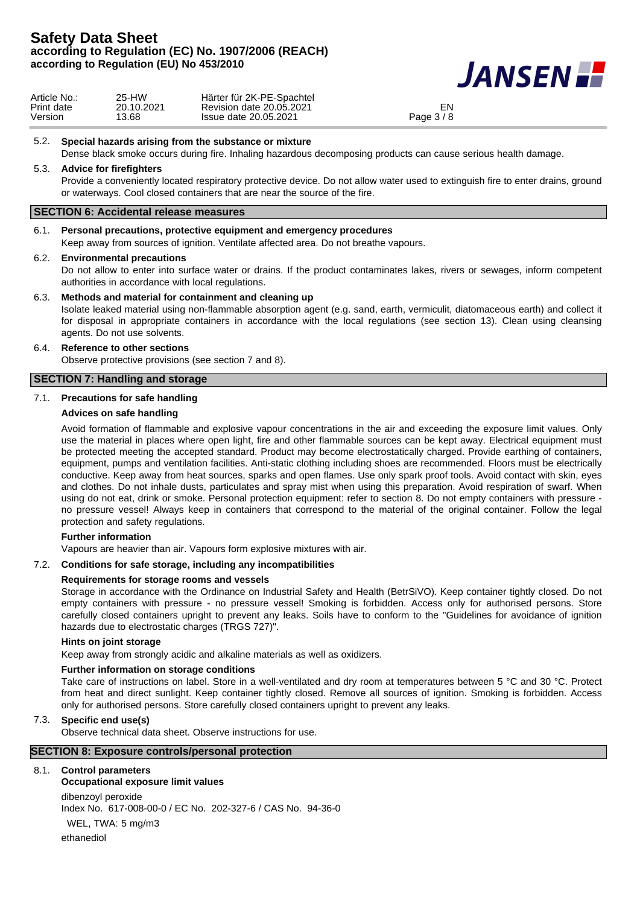

| Article No.: | 25-HW      | Härter für 2K-PE-Spachtel |            |
|--------------|------------|---------------------------|------------|
| Print date   | 20.10.2021 | Revision date 20.05.2021  | EN         |
| Version      | 13.68      | Issue date 20.05.2021     | Page $3/8$ |

#### 5.2. **Special hazards arising from the substance or mixture**

Dense black smoke occurs during fire. Inhaling hazardous decomposing products can cause serious health damage.

## 5.3. **Advice for firefighters**

Provide a conveniently located respiratory protective device. Do not allow water used to extinguish fire to enter drains, ground or waterways. Cool closed containers that are near the source of the fire.

## **SECTION 6: Accidental release measures**

#### 6.1. **Personal precautions, protective equipment and emergency procedures**

Keep away from sources of ignition. Ventilate affected area. Do not breathe vapours.

#### 6.2. **Environmental precautions**

Do not allow to enter into surface water or drains. If the product contaminates lakes, rivers or sewages, inform competent authorities in accordance with local regulations.

#### 6.3. **Methods and material for containment and cleaning up**

Isolate leaked material using non-flammable absorption agent (e.g. sand, earth, vermiculit, diatomaceous earth) and collect it for disposal in appropriate containers in accordance with the local regulations (see section 13). Clean using cleansing agents. Do not use solvents.

#### 6.4. **Reference to other sections**

Observe protective provisions (see section 7 and 8).

## **SECTION 7: Handling and storage**

### 7.1. **Precautions for safe handling**

### **Advices on safe handling**

Avoid formation of flammable and explosive vapour concentrations in the air and exceeding the exposure limit values. Only use the material in places where open light, fire and other flammable sources can be kept away. Electrical equipment must be protected meeting the accepted standard. Product may become electrostatically charged. Provide earthing of containers, equipment, pumps and ventilation facilities. Anti-static clothing including shoes are recommended. Floors must be electrically conductive. Keep away from heat sources, sparks and open flames. Use only spark proof tools. Avoid contact with skin, eyes and clothes. Do not inhale dusts, particulates and spray mist when using this preparation. Avoid respiration of swarf. When using do not eat, drink or smoke. Personal protection equipment: refer to section 8. Do not empty containers with pressure no pressure vessel! Always keep in containers that correspond to the material of the original container. Follow the legal protection and safety regulations.

#### **Further information**

Vapours are heavier than air. Vapours form explosive mixtures with air.

### 7.2. **Conditions for safe storage, including any incompatibilities**

## **Requirements for storage rooms and vessels**

Storage in accordance with the Ordinance on Industrial Safety and Health (BetrSiVO). Keep container tightly closed. Do not empty containers with pressure - no pressure vessel! Smoking is forbidden. Access only for authorised persons. Store carefully closed containers upright to prevent any leaks. Soils have to conform to the "Guidelines for avoidance of ignition hazards due to electrostatic charges (TRGS 727)".

#### **Hints on joint storage**

Keep away from strongly acidic and alkaline materials as well as oxidizers.

### **Further information on storage conditions**

Take care of instructions on label. Store in a well-ventilated and dry room at temperatures between 5 °C and 30 °C. Protect from heat and direct sunlight. Keep container tightly closed. Remove all sources of ignition. Smoking is forbidden. Access only for authorised persons. Store carefully closed containers upright to prevent any leaks.

### 7.3. **Specific end use(s)**

Observe technical data sheet. Observe instructions for use.

#### **SECTION 8: Exposure controls/personal protection**

### 8.1. **Control parameters**

## **Occupational exposure limit values**

dibenzoyl peroxide Index No. 617-008-00-0 / EC No. 202-327-6 / CAS No. 94-36-0 WEL, TWA: 5 mg/m3 ethanediol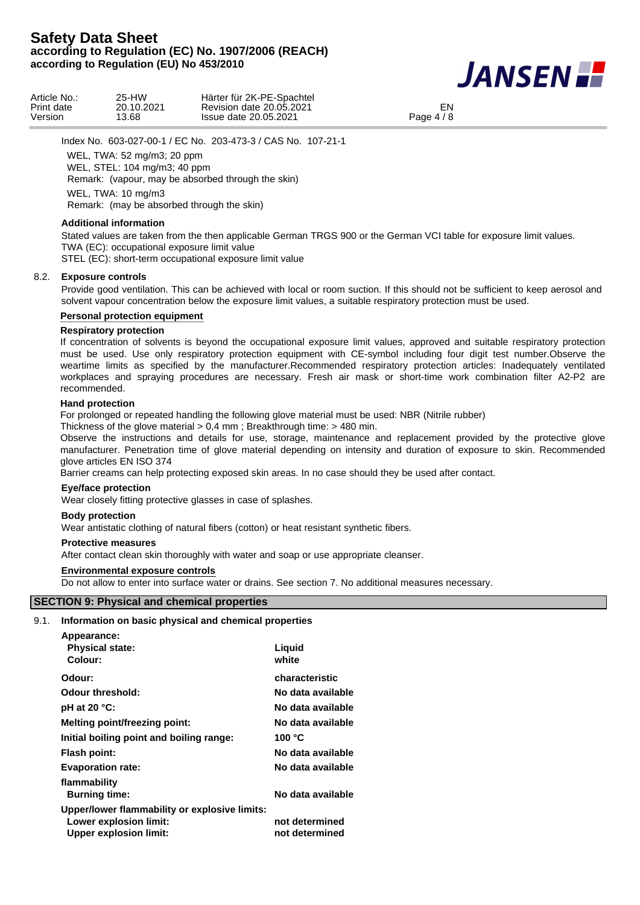

Index No. 603-027-00-1 / EC No. 203-473-3 / CAS No. 107-21-1

WEL, TWA: 52 mg/m3; 20 ppm WEL, STEL: 104 mg/m3; 40 ppm Remark: (vapour, may be absorbed through the skin) WEL, TWA: 10 mg/m3

Remark: (may be absorbed through the skin)

## **Additional information**

Stated values are taken from the then applicable German TRGS 900 or the German VCI table for exposure limit values. TWA (EC): occupational exposure limit value

STEL (EC): short-term occupational exposure limit value

### 8.2. **Exposure controls**

Provide good ventilation. This can be achieved with local or room suction. If this should not be sufficient to keep aerosol and solvent vapour concentration below the exposure limit values, a suitable respiratory protection must be used.

## **Personal protection equipment**

### **Respiratory protection**

If concentration of solvents is beyond the occupational exposure limit values, approved and suitable respiratory protection must be used. Use only respiratory protection equipment with CE-symbol including four digit test number.Observe the weartime limits as specified by the manufacturer.Recommended respiratory protection articles: Inadequately ventilated workplaces and spraying procedures are necessary. Fresh air mask or short-time work combination filter A2-P2 are recommended.

### **Hand protection**

For prolonged or repeated handling the following glove material must be used: NBR (Nitrile rubber)

Thickness of the glove material > 0,4 mm ; Breakthrough time: > 480 min.

Observe the instructions and details for use, storage, maintenance and replacement provided by the protective glove manufacturer. Penetration time of glove material depending on intensity and duration of exposure to skin. Recommended glove articles EN ISO 374

Barrier creams can help protecting exposed skin areas. In no case should they be used after contact.

## **Eye/face protection**

Wear closely fitting protective glasses in case of splashes.

### **Body protection**

Wear antistatic clothing of natural fibers (cotton) or heat resistant synthetic fibers.

### **Protective measures**

After contact clean skin thoroughly with water and soap or use appropriate cleanser.

### **Environmental exposure controls**

Do not allow to enter into surface water or drains. See section 7. No additional measures necessary.

## **SECTION 9: Physical and chemical properties**

### 9.1. **Information on basic physical and chemical properties**

| Appearance:                                   |                   |
|-----------------------------------------------|-------------------|
| <b>Physical state:</b>                        | Liguid            |
| Colour:                                       | white             |
| Odour:                                        | characteristic    |
| <b>Odour threshold:</b>                       | No data available |
| pH at 20 $°C$ :                               | No data available |
| <b>Melting point/freezing point:</b>          | No data available |
| Initial boiling point and boiling range:      | 100 $^{\circ}$ C  |
| Flash point:                                  | No data available |
| <b>Evaporation rate:</b>                      | No data available |
| flammability                                  |                   |
| <b>Burning time:</b>                          | No data available |
| Upper/lower flammability or explosive limits: |                   |
| Lower explosion limit:                        | not determined    |
| <b>Upper explosion limit:</b>                 | not determined    |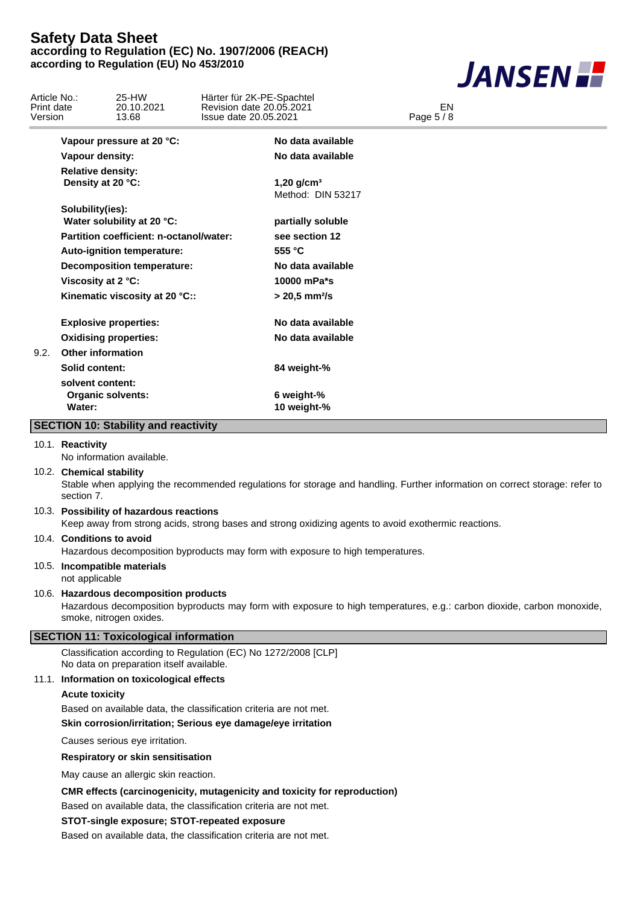

|                                       |                                                                                                                                                  |                       |                                                                           | 17 V S G J V                                                                                                                |
|---------------------------------------|--------------------------------------------------------------------------------------------------------------------------------------------------|-----------------------|---------------------------------------------------------------------------|-----------------------------------------------------------------------------------------------------------------------------|
| Article No.:<br>Print date<br>Version | 25-HW<br>20.10.2021<br>13.68                                                                                                                     | Issue date 20.05.2021 | Härter für 2K-PE-Spachtel<br>Revision date 20.05.2021                     | EN<br>Page 5 / 8                                                                                                            |
|                                       | Vapour pressure at 20 °C:                                                                                                                        |                       | No data available                                                         |                                                                                                                             |
|                                       | Vapour density:                                                                                                                                  |                       | No data available                                                         |                                                                                                                             |
|                                       | <b>Relative density:</b>                                                                                                                         |                       |                                                                           |                                                                                                                             |
|                                       | Density at 20 °C:                                                                                                                                |                       | 1,20 $g/cm^3$<br>Method: DIN 53217                                        |                                                                                                                             |
|                                       | Solubility(ies):<br>Water solubility at 20 °C:                                                                                                   |                       | partially soluble                                                         |                                                                                                                             |
|                                       | Partition coefficient: n-octanol/water:                                                                                                          |                       | see section 12                                                            |                                                                                                                             |
|                                       | Auto-ignition temperature:                                                                                                                       |                       | 555 °C                                                                    |                                                                                                                             |
|                                       | <b>Decomposition temperature:</b>                                                                                                                |                       | No data available                                                         |                                                                                                                             |
|                                       | Viscosity at 2 °C:                                                                                                                               |                       | 10000 mPa*s                                                               |                                                                                                                             |
|                                       | Kinematic viscosity at 20 °C::                                                                                                                   |                       | $> 20,5$ mm $2/s$                                                         |                                                                                                                             |
|                                       | <b>Explosive properties:</b>                                                                                                                     |                       | No data available                                                         |                                                                                                                             |
|                                       | <b>Oxidising properties:</b>                                                                                                                     |                       | No data available                                                         |                                                                                                                             |
| 9.2.                                  | <b>Other information</b>                                                                                                                         |                       |                                                                           |                                                                                                                             |
|                                       | Solid content:                                                                                                                                   |                       | 84 weight-%                                                               |                                                                                                                             |
|                                       | solvent content:                                                                                                                                 |                       |                                                                           |                                                                                                                             |
|                                       | <b>Organic solvents:</b>                                                                                                                         |                       | 6 weight-%                                                                |                                                                                                                             |
|                                       | Water:                                                                                                                                           |                       | 10 weight-%                                                               |                                                                                                                             |
|                                       | <b>SECTION 10: Stability and reactivity</b>                                                                                                      |                       |                                                                           |                                                                                                                             |
|                                       | 10.1. Reactivity<br>No information available.                                                                                                    |                       |                                                                           |                                                                                                                             |
|                                       | 10.2. Chemical stability                                                                                                                         |                       |                                                                           |                                                                                                                             |
|                                       | section 7.                                                                                                                                       |                       |                                                                           | Stable when applying the recommended regulations for storage and handling. Further information on correct storage: refer to |
|                                       | 10.3. Possibility of hazardous reactions<br>Keep away from strong acids, strong bases and strong oxidizing agents to avoid exothermic reactions. |                       |                                                                           |                                                                                                                             |
|                                       | 10.4. Conditions to avoid<br>Hazardous decomposition byproducts may form with exposure to high temperatures.                                     |                       |                                                                           |                                                                                                                             |
|                                       | 10.5. Incompatible materials<br>not applicable                                                                                                   |                       |                                                                           |                                                                                                                             |
|                                       | 10.6. Hazardous decomposition products                                                                                                           |                       |                                                                           |                                                                                                                             |
|                                       | smoke, nitrogen oxides.                                                                                                                          |                       |                                                                           | Hazardous decomposition byproducts may form with exposure to high temperatures, e.g.: carbon dioxide, carbon monoxide,      |
|                                       | <b>SECTION 11: Toxicological information</b>                                                                                                     |                       |                                                                           |                                                                                                                             |
|                                       | Classification according to Regulation (EC) No 1272/2008 [CLP]<br>No data on preparation itself available.                                       |                       |                                                                           |                                                                                                                             |
|                                       | 11.1. Information on toxicological effects                                                                                                       |                       |                                                                           |                                                                                                                             |
|                                       | <b>Acute toxicity</b>                                                                                                                            |                       |                                                                           |                                                                                                                             |
|                                       | Based on available data, the classification criteria are not met.                                                                                |                       |                                                                           |                                                                                                                             |
|                                       | Skin corrosion/irritation; Serious eye damage/eye irritation                                                                                     |                       |                                                                           |                                                                                                                             |
|                                       | Causes serious eye irritation.                                                                                                                   |                       |                                                                           |                                                                                                                             |
|                                       | Respiratory or skin sensitisation                                                                                                                |                       |                                                                           |                                                                                                                             |
|                                       | May cause an allergic skin reaction.                                                                                                             |                       |                                                                           |                                                                                                                             |
|                                       |                                                                                                                                                  |                       | CMR effects (carcinogenicity, mutagenicity and toxicity for reproduction) |                                                                                                                             |
|                                       | Based on available data, the classification criteria are not met.                                                                                |                       |                                                                           |                                                                                                                             |
|                                       | STOT-single exposure; STOT-repeated exposure                                                                                                     |                       |                                                                           |                                                                                                                             |
|                                       | Based on available data, the classification criteria are not met.                                                                                |                       |                                                                           |                                                                                                                             |
|                                       |                                                                                                                                                  |                       |                                                                           |                                                                                                                             |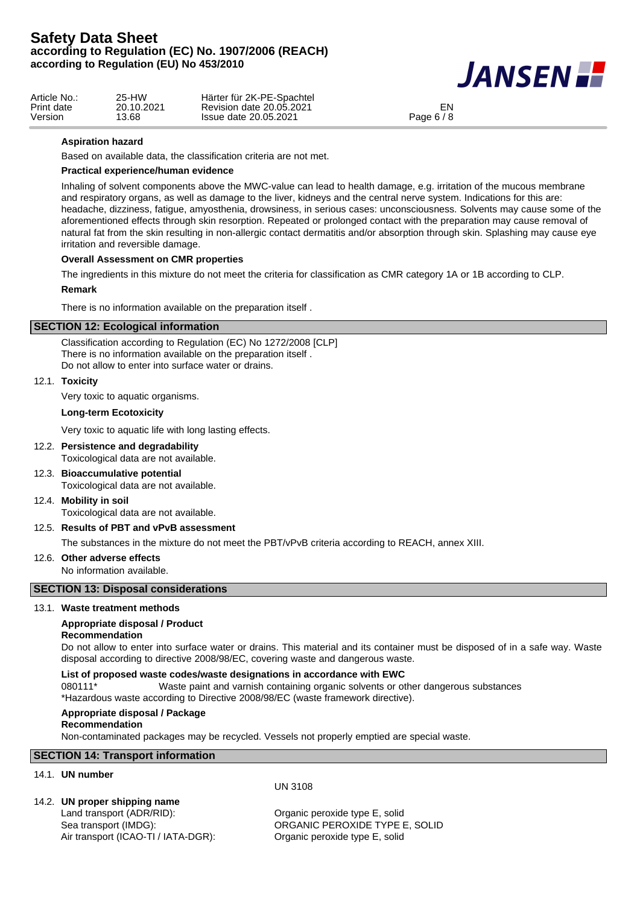

| Article No.: | 25-HW      | Härter für 2K-PE-Spachtel |            |
|--------------|------------|---------------------------|------------|
| Print date   | 20.10.2021 | Revision date 20.05.2021  | EN         |
| Version      | 13.68      | Issue date 20.05.2021     | Page 6 / 8 |

## **Aspiration hazard**

Based on available data, the classification criteria are not met.

## **Practical experience/human evidence**

Inhaling of solvent components above the MWC-value can lead to health damage, e.g. irritation of the mucous membrane and respiratory organs, as well as damage to the liver, kidneys and the central nerve system. Indications for this are: headache, dizziness, fatigue, amyosthenia, drowsiness, in serious cases: unconsciousness. Solvents may cause some of the aforementioned effects through skin resorption. Repeated or prolonged contact with the preparation may cause removal of natural fat from the skin resulting in non-allergic contact dermatitis and/or absorption through skin. Splashing may cause eye irritation and reversible damage.

## **Overall Assessment on CMR properties**

The ingredients in this mixture do not meet the criteria for classification as CMR category 1A or 1B according to CLP.

### **Remark**

There is no information available on the preparation itself .

## **SECTION 12: Ecological information**

Classification according to Regulation (EC) No 1272/2008 [CLP] There is no information available on the preparation itself . Do not allow to enter into surface water or drains.

### 12.1. **Toxicity**

Very toxic to aquatic organisms.

### **Long-term Ecotoxicity**

Very toxic to aquatic life with long lasting effects.

## 12.2. **Persistence and degradability**

Toxicological data are not available.

12.3. **Bioaccumulative potential**

Toxicological data are not available.

12.4. **Mobility in soil**

Toxicological data are not available.

# 12.5. **Results of PBT and vPvB assessment**

The substances in the mixture do not meet the PBT/vPvB criteria according to REACH, annex XIII.

### 12.6. **Other adverse effects**

No information available.

### **SECTION 13: Disposal considerations**

### 13.1. **Waste treatment methods**

### **Appropriate disposal / Product**

## **Recommendation**

Do not allow to enter into surface water or drains. This material and its container must be disposed of in a safe way. Waste disposal according to directive 2008/98/EC, covering waste and dangerous waste.

## **List of proposed waste codes/waste designations in accordance with EWC**

080111\* Waste paint and varnish containing organic solvents or other dangerous substances \*Hazardous waste according to Directive 2008/98/EC (waste framework directive).

#### **Appropriate disposal / Package**

#### **Recommendation**

Non-contaminated packages may be recycled. Vessels not properly emptied are special waste.

### **SECTION 14: Transport information**

## 14.1. **UN number**

### 14.2. **UN proper shipping name**

Land transport (ADR/RID): Cand transport (ADR/RID): Air transport (ICAO-TI / IATA-DGR): Organic peroxide type E, solid

UN 3108

Sea transport (IMDG): ORGANIC PEROXIDE TYPE E, SOLID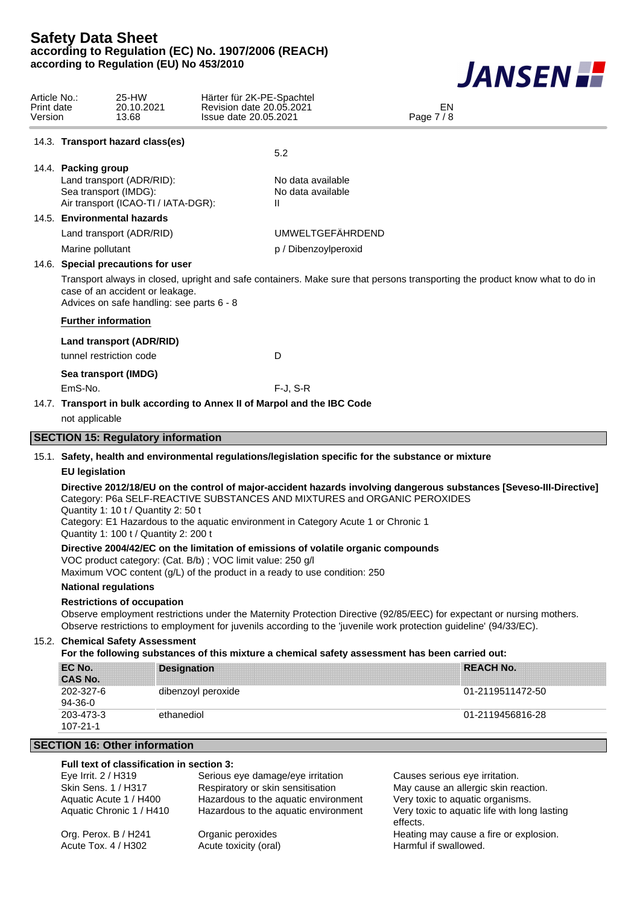

| Article No.:<br>Print date<br>Version |                                                                                                                                     | 25-HW<br>20.10.2021<br>13.68                                                                                                                                                                                                                                                                                                                                           | Härter für 2K-PE-Spachtel<br>Revision date 20.05.2021<br>Issue date 20.05.2021 |                                        | EN<br>Page 7 / 8                                                                                                                                                                                                                            |  |  |  |
|---------------------------------------|-------------------------------------------------------------------------------------------------------------------------------------|------------------------------------------------------------------------------------------------------------------------------------------------------------------------------------------------------------------------------------------------------------------------------------------------------------------------------------------------------------------------|--------------------------------------------------------------------------------|----------------------------------------|---------------------------------------------------------------------------------------------------------------------------------------------------------------------------------------------------------------------------------------------|--|--|--|
|                                       |                                                                                                                                     | 14.3. Transport hazard class(es)                                                                                                                                                                                                                                                                                                                                       | 5.2                                                                            |                                        |                                                                                                                                                                                                                                             |  |  |  |
|                                       | 14.4. Packing group<br>Land transport (ADR/RID):<br>Sea transport (IMDG):<br>Air transport (ICAO-TI / IATA-DGR):                    |                                                                                                                                                                                                                                                                                                                                                                        | Ш                                                                              | No data available<br>No data available |                                                                                                                                                                                                                                             |  |  |  |
|                                       |                                                                                                                                     | 14.5. Environmental hazards<br>Land transport (ADR/RID)                                                                                                                                                                                                                                                                                                                |                                                                                | <b>UMWELTGEFÄHRDEND</b>                |                                                                                                                                                                                                                                             |  |  |  |
|                                       | Marine pollutant                                                                                                                    |                                                                                                                                                                                                                                                                                                                                                                        |                                                                                | p / Dibenzoylperoxid                   |                                                                                                                                                                                                                                             |  |  |  |
|                                       |                                                                                                                                     | 14.6. Special precautions for user<br>case of an accident or leakage.<br>Advices on safe handling: see parts 6 - 8                                                                                                                                                                                                                                                     |                                                                                |                                        | Transport always in closed, upright and safe containers. Make sure that persons transporting the product know what to do in                                                                                                                 |  |  |  |
|                                       |                                                                                                                                     | <b>Further information</b>                                                                                                                                                                                                                                                                                                                                             |                                                                                |                                        |                                                                                                                                                                                                                                             |  |  |  |
|                                       |                                                                                                                                     | Land transport (ADR/RID)<br>tunnel restriction code                                                                                                                                                                                                                                                                                                                    | D                                                                              |                                        |                                                                                                                                                                                                                                             |  |  |  |
|                                       | EmS-No.                                                                                                                             | Sea transport (IMDG)                                                                                                                                                                                                                                                                                                                                                   | $F-J, S-R$                                                                     |                                        |                                                                                                                                                                                                                                             |  |  |  |
|                                       |                                                                                                                                     |                                                                                                                                                                                                                                                                                                                                                                        | 14.7. Transport in bulk according to Annex II of Marpol and the IBC Code       |                                        |                                                                                                                                                                                                                                             |  |  |  |
|                                       | not applicable                                                                                                                      |                                                                                                                                                                                                                                                                                                                                                                        |                                                                                |                                        |                                                                                                                                                                                                                                             |  |  |  |
|                                       |                                                                                                                                     | <b>SECTION 15: Regulatory information</b>                                                                                                                                                                                                                                                                                                                              |                                                                                |                                        |                                                                                                                                                                                                                                             |  |  |  |
|                                       |                                                                                                                                     |                                                                                                                                                                                                                                                                                                                                                                        |                                                                                |                                        |                                                                                                                                                                                                                                             |  |  |  |
|                                       |                                                                                                                                     | 15.1. Safety, health and environmental regulations/legislation specific for the substance or mixture<br><b>EU</b> legislation                                                                                                                                                                                                                                          |                                                                                |                                        |                                                                                                                                                                                                                                             |  |  |  |
|                                       |                                                                                                                                     | Directive 2012/18/EU on the control of major-accident hazards involving dangerous substances [Seveso-III-Directive]<br>Category: P6a SELF-REACTIVE SUBSTANCES AND MIXTURES and ORGANIC PEROXIDES<br>Quantity 1: 10 t / Quantity 2: 50 t<br>Category: E1 Hazardous to the aquatic environment in Category Acute 1 or Chronic 1<br>Quantity 1: 100 t / Quantity 2: 200 t |                                                                                |                                        |                                                                                                                                                                                                                                             |  |  |  |
|                                       |                                                                                                                                     | Directive 2004/42/EC on the limitation of emissions of volatile organic compounds<br>VOC product category: (Cat. B/b); VOC limit value: 250 g/l<br>Maximum VOC content (g/L) of the product in a ready to use condition: 250                                                                                                                                           |                                                                                |                                        |                                                                                                                                                                                                                                             |  |  |  |
|                                       |                                                                                                                                     | <b>National regulations</b>                                                                                                                                                                                                                                                                                                                                            |                                                                                |                                        |                                                                                                                                                                                                                                             |  |  |  |
|                                       |                                                                                                                                     | <b>Restrictions of occupation</b>                                                                                                                                                                                                                                                                                                                                      |                                                                                |                                        | Observe employment restrictions under the Maternity Protection Directive (92/85/EEC) for expectant or nursing mothers.<br>Observe restrictions to employment for juvenils according to the 'juvenile work protection guideline' (94/33/EC). |  |  |  |
|                                       | 15.2. Chemical Safety Assessment<br>For the following substances of this mixture a chemical safety assessment has been carried out: |                                                                                                                                                                                                                                                                                                                                                                        |                                                                                |                                        |                                                                                                                                                                                                                                             |  |  |  |
|                                       | EC No.<br><b>CAS No.</b>                                                                                                            |                                                                                                                                                                                                                                                                                                                                                                        | <b>Designation</b>                                                             |                                        | <b>REACH No.</b>                                                                                                                                                                                                                            |  |  |  |
|                                       | 202-327-6<br>94-36-0                                                                                                                |                                                                                                                                                                                                                                                                                                                                                                        | dibenzoyl peroxide                                                             |                                        | 01-2119511472-50                                                                                                                                                                                                                            |  |  |  |
|                                       | 203-473-3<br>107-21-1                                                                                                               | ethanediol                                                                                                                                                                                                                                                                                                                                                             |                                                                                |                                        | 01-2119456816-28                                                                                                                                                                                                                            |  |  |  |
|                                       |                                                                                                                                     | <b>SECTION 16: Other information</b>                                                                                                                                                                                                                                                                                                                                   |                                                                                |                                        |                                                                                                                                                                                                                                             |  |  |  |
|                                       | Eye Irrit. 2 / H319                                                                                                                 | Full text of classification in section 3:                                                                                                                                                                                                                                                                                                                              | Serious eye damage/eye irritation                                              |                                        | Causes serious eye irritation.                                                                                                                                                                                                              |  |  |  |
|                                       |                                                                                                                                     | Skin Sens. 1 / H317<br>Aquatic Acute 1 / H400                                                                                                                                                                                                                                                                                                                          | Respiratory or skin sensitisation<br>Hazardous to the aquatic environment      |                                        | May cause an allergic skin reaction.<br>Very toxic to aquatic organisms.                                                                                                                                                                    |  |  |  |

Aquatic Chronic 1 / H410 Hazardous to the aquatic environment Very toxic to aquatic life with long lasting effects. Org. Perox. B / H241 Organic peroxides Cross explosion.<br>Acute Tox. 4 / H302 Acute toxicity (oral) Channel Harmful if swallowed. Acute toxicity (oral) **Harmful if swallowed.**